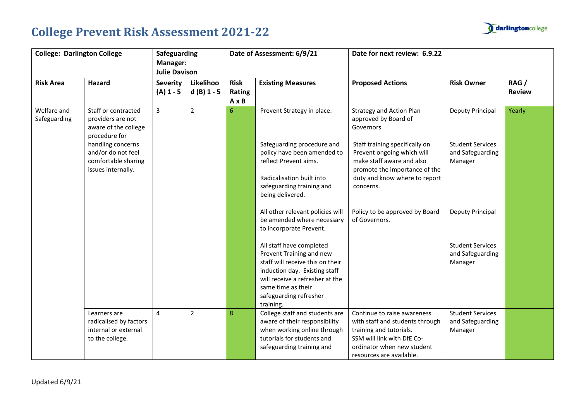

| <b>College: Darlington College</b> |                                                                                      | Safeguarding<br>Manager:<br><b>Julie Davison</b> |                           |                                       | Date of Assessment: 6/9/21                                                                                                                                                                                                | Date for next review: 6.9.22                                                                                                                                                      |                                                        |                       |
|------------------------------------|--------------------------------------------------------------------------------------|--------------------------------------------------|---------------------------|---------------------------------------|---------------------------------------------------------------------------------------------------------------------------------------------------------------------------------------------------------------------------|-----------------------------------------------------------------------------------------------------------------------------------------------------------------------------------|--------------------------------------------------------|-----------------------|
| <b>Risk Area</b>                   | <b>Hazard</b>                                                                        | <b>Severity</b><br>$(A) 1 - 5$                   | Likelihoo<br>$d(B)$ 1 - 5 | <b>Risk</b><br>Rating<br>$A \times B$ | <b>Existing Measures</b>                                                                                                                                                                                                  | <b>Proposed Actions</b>                                                                                                                                                           | <b>Risk Owner</b>                                      | RAG/<br><b>Review</b> |
| Welfare and<br>Safeguarding        | Staff or contracted<br>providers are not<br>aware of the college<br>procedure for    | $\overline{3}$                                   | $\overline{2}$            | 6                                     | Prevent Strategy in place.                                                                                                                                                                                                | <b>Strategy and Action Plan</b><br>approved by Board of<br>Governors.                                                                                                             | Deputy Principal                                       | Yearly                |
|                                    | handling concerns<br>and/or do not feel<br>comfortable sharing<br>issues internally. |                                                  |                           |                                       | Safeguarding procedure and<br>policy have been amended to<br>reflect Prevent aims.<br>Radicalisation built into<br>safeguarding training and<br>being delivered.                                                          | Staff training specifically on<br>Prevent ongoing which will<br>make staff aware and also<br>promote the importance of the<br>duty and know where to report<br>concerns.          | <b>Student Services</b><br>and Safeguarding<br>Manager |                       |
|                                    |                                                                                      |                                                  |                           |                                       | All other relevant policies will<br>be amended where necessary<br>to incorporate Prevent.                                                                                                                                 | Policy to be approved by Board<br>of Governors.                                                                                                                                   | Deputy Principal                                       |                       |
|                                    |                                                                                      |                                                  |                           |                                       | All staff have completed<br>Prevent Training and new<br>staff will receive this on their<br>induction day. Existing staff<br>will receive a refresher at the<br>same time as their<br>safeguarding refresher<br>training. |                                                                                                                                                                                   | <b>Student Services</b><br>and Safeguarding<br>Manager |                       |
|                                    | Learners are<br>radicalised by factors<br>internal or external<br>to the college.    | $\overline{4}$                                   | $\overline{2}$            | 8                                     | College staff and students are<br>aware of their responsibility<br>when working online through<br>tutorials for students and<br>safeguarding training and                                                                 | Continue to raise awareness<br>with staff and students through<br>training and tutorials.<br>SSM will link with DfE Co-<br>ordinator when new student<br>resources are available. | <b>Student Services</b><br>and Safeguarding<br>Manager |                       |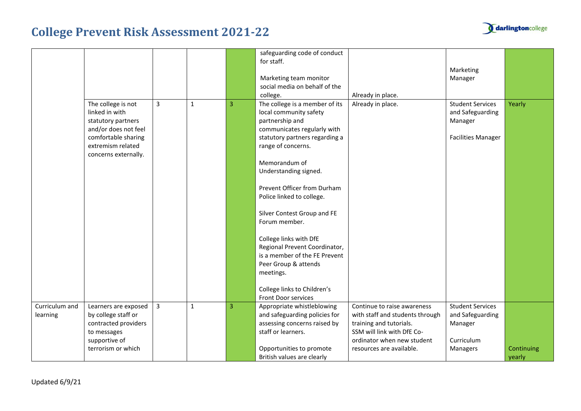

|                            |                                                                                                                                                        |   |              |                | safeguarding code of conduct<br>for staff.<br>Marketing team monitor<br>social media on behalf of the<br>college.                                                                                                                                                                                                                                                                                                                                                                                                      | Already in place.                                                                                                                                                                 | Marketing<br>Manager                                                                |                      |
|----------------------------|--------------------------------------------------------------------------------------------------------------------------------------------------------|---|--------------|----------------|------------------------------------------------------------------------------------------------------------------------------------------------------------------------------------------------------------------------------------------------------------------------------------------------------------------------------------------------------------------------------------------------------------------------------------------------------------------------------------------------------------------------|-----------------------------------------------------------------------------------------------------------------------------------------------------------------------------------|-------------------------------------------------------------------------------------|----------------------|
|                            | The college is not<br>linked in with<br>statutory partners<br>and/or does not feel<br>comfortable sharing<br>extremism related<br>concerns externally. | 3 | $\mathbf{1}$ | 3              | The college is a member of its<br>local community safety<br>partnership and<br>communicates regularly with<br>statutory partners regarding a<br>range of concerns.<br>Memorandum of<br>Understanding signed.<br>Prevent Officer from Durham<br>Police linked to college.<br>Silver Contest Group and FE<br>Forum member.<br>College links with DfE<br>Regional Prevent Coordinator,<br>is a member of the FE Prevent<br>Peer Group & attends<br>meetings.<br>College links to Children's<br><b>Front Door services</b> | Already in place.                                                                                                                                                                 | <b>Student Services</b><br>and Safeguarding<br>Manager<br><b>Facilities Manager</b> | Yearly               |
| Curriculum and<br>learning | Learners are exposed<br>by college staff or<br>contracted providers<br>to messages<br>supportive of<br>terrorism or which                              | 3 | 1            | $\overline{3}$ | Appropriate whistleblowing<br>and safeguarding policies for<br>assessing concerns raised by<br>staff or learners.<br>Opportunities to promote<br>British values are clearly                                                                                                                                                                                                                                                                                                                                            | Continue to raise awareness<br>with staff and students through<br>training and tutorials.<br>SSM will link with DfE Co-<br>ordinator when new student<br>resources are available. | <b>Student Services</b><br>and Safeguarding<br>Manager<br>Curriculum<br>Managers    | Continuing<br>yearly |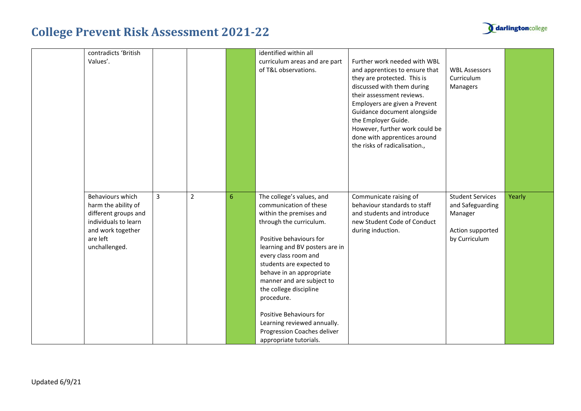| contradicts 'British<br>Values'.                                                                                                          |   |                |                 | identified within all<br>curriculum areas and are part<br>of T&L observations.                                                                                                                                                                                                                                                                                                                                                                 | Further work needed with WBL<br>and apprentices to ensure that<br>they are protected. This is<br>discussed with them during<br>their assessment reviews.<br>Employers are given a Prevent<br>Guidance document alongside<br>the Employer Guide.<br>However, further work could be<br>done with apprentices around<br>the risks of radicalisation., | <b>WBL Assessors</b><br>Curriculum<br>Managers                                              |        |
|-------------------------------------------------------------------------------------------------------------------------------------------|---|----------------|-----------------|------------------------------------------------------------------------------------------------------------------------------------------------------------------------------------------------------------------------------------------------------------------------------------------------------------------------------------------------------------------------------------------------------------------------------------------------|----------------------------------------------------------------------------------------------------------------------------------------------------------------------------------------------------------------------------------------------------------------------------------------------------------------------------------------------------|---------------------------------------------------------------------------------------------|--------|
| Behaviours which<br>harm the ability of<br>different groups and<br>individuals to learn<br>and work together<br>are left<br>unchallenged. | 3 | $\overline{2}$ | $6\phantom{1}6$ | The college's values, and<br>communication of these<br>within the premises and<br>through the curriculum.<br>Positive behaviours for<br>learning and BV posters are in<br>every class room and<br>students are expected to<br>behave in an appropriate<br>manner and are subject to<br>the college discipline<br>procedure.<br>Positive Behaviours for<br>Learning reviewed annually.<br>Progression Coaches deliver<br>appropriate tutorials. | Communicate raising of<br>behaviour standards to staff<br>and students and introduce<br>new Student Code of Conduct<br>during induction.                                                                                                                                                                                                           | <b>Student Services</b><br>and Safeguarding<br>Manager<br>Action supported<br>by Curriculum | Yearly |

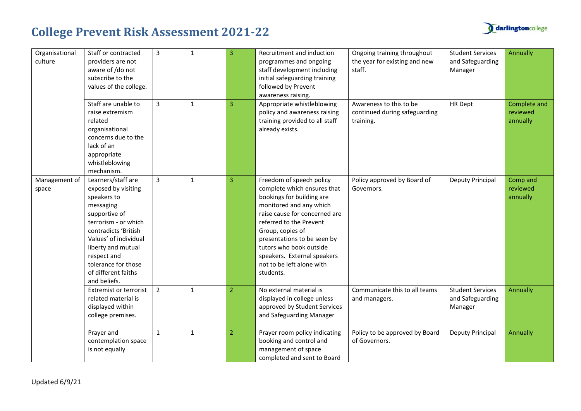

| Organisational<br>culture | Staff or contracted<br>providers are not<br>aware of /do not<br>subscribe to the<br>values of the college.                                                                                                                                                         | $\overline{3}$ | 1            | $\overline{3}$ | Recruitment and induction<br>programmes and ongoing<br>staff development including<br>initial safeguarding training<br>followed by Prevent<br>awareness raising.                                                                                                                                                                   | Ongoing training throughout<br>the year for existing and new<br>staff. | <b>Student Services</b><br>and Safeguarding<br>Manager | Annually                             |
|---------------------------|--------------------------------------------------------------------------------------------------------------------------------------------------------------------------------------------------------------------------------------------------------------------|----------------|--------------|----------------|------------------------------------------------------------------------------------------------------------------------------------------------------------------------------------------------------------------------------------------------------------------------------------------------------------------------------------|------------------------------------------------------------------------|--------------------------------------------------------|--------------------------------------|
|                           | Staff are unable to<br>raise extremism<br>related<br>organisational<br>concerns due to the<br>lack of an<br>appropriate<br>whistleblowing<br>mechanism.                                                                                                            | $\overline{3}$ | $\mathbf{1}$ | 3              | Appropriate whistleblowing<br>policy and awareness raising<br>training provided to all staff<br>already exists.                                                                                                                                                                                                                    | Awareness to this to be<br>continued during safeguarding<br>training.  | HR Dept                                                | Complete and<br>reviewed<br>annually |
| Management of<br>space    | Learners/staff are<br>exposed by visiting<br>speakers to<br>messaging<br>supportive of<br>terrorism - or which<br>contradicts 'British<br>Values' of individual<br>liberty and mutual<br>respect and<br>tolerance for those<br>of different faiths<br>and beliefs. | $\overline{3}$ | $\mathbf{1}$ | $\overline{3}$ | Freedom of speech policy<br>complete which ensures that<br>bookings for building are<br>monitored and any which<br>raise cause for concerned are<br>referred to the Prevent<br>Group, copies of<br>presentations to be seen by<br>tutors who book outside<br>speakers. External speakers<br>not to be left alone with<br>students. | Policy approved by Board of<br>Governors.                              | Deputy Principal                                       | Comp and<br>reviewed<br>annually     |
|                           | Extremist or terrorist<br>related material is<br>displayed within<br>college premises.                                                                                                                                                                             | $\overline{2}$ | $\mathbf{1}$ | $\overline{2}$ | No external material is<br>displayed in college unless<br>approved by Student Services<br>and Safeguarding Manager                                                                                                                                                                                                                 | Communicate this to all teams<br>and managers.                         | <b>Student Services</b><br>and Safeguarding<br>Manager | Annually                             |
|                           | Prayer and<br>contemplation space<br>is not equally                                                                                                                                                                                                                | $\mathbf 1$    | $\mathbf{1}$ | $\overline{2}$ | Prayer room policy indicating<br>booking and control and<br>management of space<br>completed and sent to Board                                                                                                                                                                                                                     | Policy to be approved by Board<br>of Governors.                        | Deputy Principal                                       | Annually                             |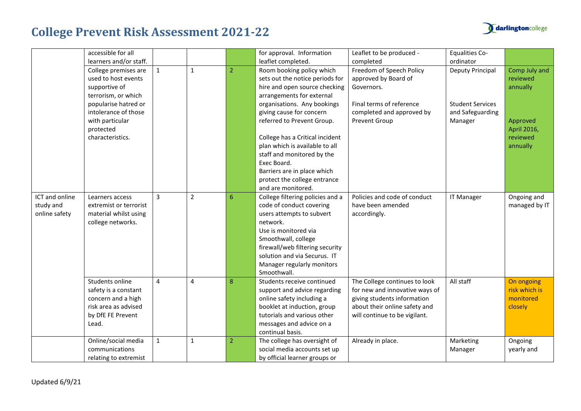



|                                              | accessible for all<br>learners and/or staff.                                                                        |                |                |                | for approval. Information<br>leaflet completed.                                                                                                                                                                                                                      | Leaflet to be produced -<br>completed                                                                                                                            | <b>Equalities Co-</b><br>ordinator                     |                                                     |
|----------------------------------------------|---------------------------------------------------------------------------------------------------------------------|----------------|----------------|----------------|----------------------------------------------------------------------------------------------------------------------------------------------------------------------------------------------------------------------------------------------------------------------|------------------------------------------------------------------------------------------------------------------------------------------------------------------|--------------------------------------------------------|-----------------------------------------------------|
|                                              | College premises are<br>used to host events<br>supportive of<br>terrorism, or which                                 | $\mathbf{1}$   | 1              | $\overline{2}$ | Room booking policy which<br>sets out the notice periods for<br>hire and open source checking<br>arrangements for external                                                                                                                                           | Freedom of Speech Policy<br>approved by Board of<br>Governors.                                                                                                   | Deputy Principal                                       | Comp July and<br>reviewed<br>annually               |
|                                              | popularise hatred or<br>intolerance of those<br>with particular<br>protected                                        |                |                |                | organisations. Any bookings<br>giving cause for concern<br>referred to Prevent Group.                                                                                                                                                                                | Final terms of reference<br>completed and approved by<br>Prevent Group                                                                                           | <b>Student Services</b><br>and Safeguarding<br>Manager | Approved<br>April 2016,                             |
|                                              | characteristics.                                                                                                    |                |                |                | College has a Critical incident<br>plan which is available to all<br>staff and monitored by the<br>Exec Board.<br>Barriers are in place which<br>protect the college entrance<br>and are monitored.                                                                  |                                                                                                                                                                  |                                                        | reviewed<br>annually                                |
| ICT and online<br>study and<br>online safety | Learners access<br>extremist or terrorist<br>material whilst using<br>college networks.                             | 3              | $\overline{2}$ | 6              | College filtering policies and a<br>code of conduct covering<br>users attempts to subvert<br>network.<br>Use is monitored via<br>Smoothwall, college<br>firewall/web filtering security<br>solution and via Securus. IT<br>Manager regularly monitors<br>Smoothwall. | Policies and code of conduct<br>have been amended<br>accordingly.                                                                                                | <b>IT Manager</b>                                      | Ongoing and<br>managed by IT                        |
|                                              | Students online<br>safety is a constant<br>concern and a high<br>risk area as advised<br>by DfE FE Prevent<br>Lead. | $\overline{a}$ | 4              | 8              | Students receive continued<br>support and advice regarding<br>online safety including a<br>booklet at induction, group<br>tutorials and various other<br>messages and advice on a<br>continual basis.                                                                | The College continues to look<br>for new and innovative ways of<br>giving students information<br>about their online safety and<br>will continue to be vigilant. | All staff                                              | On ongoing<br>risk which is<br>monitored<br>closely |
|                                              | Online/social media<br>communications<br>relating to extremist                                                      | $\mathbf{1}$   | $\mathbf{1}$   | $\overline{2}$ | The college has oversight of<br>social media accounts set up<br>by official learner groups or                                                                                                                                                                        | Already in place.                                                                                                                                                | Marketing<br>Manager                                   | Ongoing<br>yearly and                               |